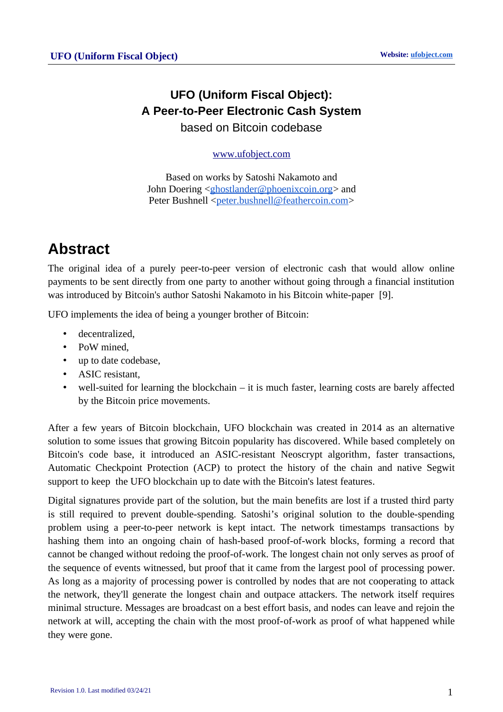## **UFO (Uniform Fiscal Object): A Peer-to-Peer Electronic Cash System**  based on Bitcoin codebase

#### [www.ufobject.com](http://www.ufobject.com/)

Based on works by Satoshi Nakamoto and John Doering <[ghostlander@phoenixcoin.org](mailto:ghostlander@phoenixcoin.org)> and Peter Bushnell [<peter.bushnell@feathercoin.com>](mailto:peter.bushnell@feathercoin.com)

# **Abstract**

The original idea of a purely peer-to-peer version of electronic cash that would allow online payments to be sent directly from one party to another without going through a financial institution was introduced by Bitcoin's author Satoshi Nakamoto in his Bitcoin white-paper [9].

UFO implements the idea of being a younger brother of Bitcoin:

- decentralized,
- PoW mined,
- up to date codebase,
- ASIC resistant,
- well-suited for learning the blockchain it is much faster, learning costs are barely affected by the Bitcoin price movements.

After a few years of Bitcoin blockchain, UFO blockchain was created in 2014 as an alternative solution to some issues that growing Bitcoin popularity has discovered. While based completely on Bitcoin's code base, it introduced an ASIC-resistant Neoscrypt algorithm, faster transactions, Automatic Checkpoint Protection (ACP) to protect the history of the chain and native Segwit support to keep the UFO blockchain up to date with the Bitcoin's latest features.

Digital signatures provide part of the solution, but the main benefits are lost if a trusted third party is still required to prevent double-spending. Satoshi's original solution to the double-spending problem using a peer-to-peer network is kept intact. The network timestamps transactions by hashing them into an ongoing chain of hash-based proof-of-work blocks, forming a record that cannot be changed without redoing the proof-of-work. The longest chain not only serves as proof of the sequence of events witnessed, but proof that it came from the largest pool of processing power. As long as a majority of processing power is controlled by nodes that are not cooperating to attack the network, they'll generate the longest chain and outpace attackers. The network itself requires minimal structure. Messages are broadcast on a best effort basis, and nodes can leave and rejoin the network at will, accepting the chain with the most proof-of-work as proof of what happened while they were gone.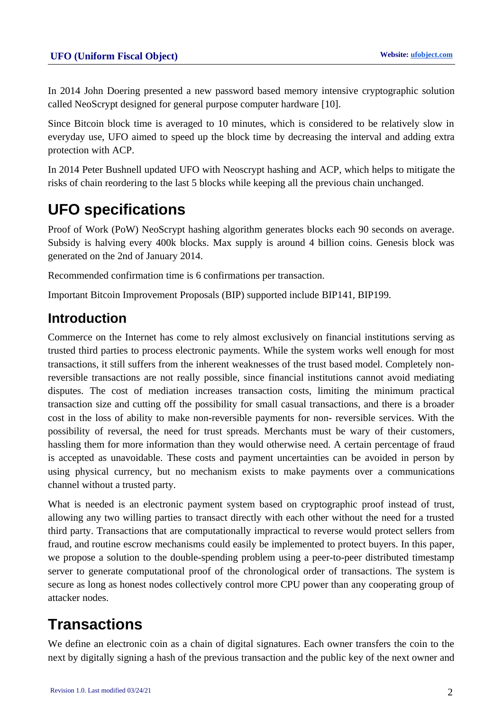In 2014 John Doering presented a new password based memory intensive cryptographic solution called NeoScrypt designed for general purpose computer hardware [10].

Since Bitcoin block time is averaged to 10 minutes, which is considered to be relatively slow in everyday use, UFO aimed to speed up the block time by decreasing the interval and adding extra protection with ACP.

In 2014 Peter Bushnell updated UFO with Neoscrypt hashing and ACP, which helps to mitigate the risks of chain reordering to the last 5 blocks while keeping all the previous chain unchanged.

# **UFO specifications**

Proof of Work (PoW) NeoScrypt hashing algorithm generates blocks each 90 seconds on average. Subsidy is halving every 400k blocks. Max supply is around 4 billion coins. Genesis block was generated on the 2nd of January 2014.

Recommended confirmation time is 6 confirmations per transaction.

Important Bitcoin Improvement Proposals (BIP) supported include BIP141, BIP199.

#### **Introduction**

Commerce on the Internet has come to rely almost exclusively on financial institutions serving as trusted third parties to process electronic payments. While the system works well enough for most transactions, it still suffers from the inherent weaknesses of the trust based model. Completely nonreversible transactions are not really possible, since financial institutions cannot avoid mediating disputes. The cost of mediation increases transaction costs, limiting the minimum practical transaction size and cutting off the possibility for small casual transactions, and there is a broader cost in the loss of ability to make non-reversible payments for non- reversible services. With the possibility of reversal, the need for trust spreads. Merchants must be wary of their customers, hassling them for more information than they would otherwise need. A certain percentage of fraud is accepted as unavoidable. These costs and payment uncertainties can be avoided in person by using physical currency, but no mechanism exists to make payments over a communications channel without a trusted party.

What is needed is an electronic payment system based on cryptographic proof instead of trust, allowing any two willing parties to transact directly with each other without the need for a trusted third party. Transactions that are computationally impractical to reverse would protect sellers from fraud, and routine escrow mechanisms could easily be implemented to protect buyers. In this paper, we propose a solution to the double-spending problem using a peer-to-peer distributed timestamp server to generate computational proof of the chronological order of transactions. The system is secure as long as honest nodes collectively control more CPU power than any cooperating group of attacker nodes.

# **Transactions**

We define an electronic coin as a chain of digital signatures. Each owner transfers the coin to the next by digitally signing a hash of the previous transaction and the public key of the next owner and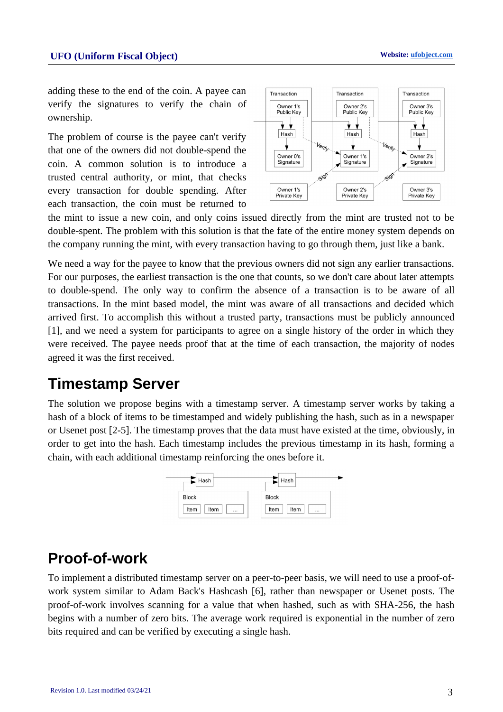adding these to the end of the coin. A payee can verify the signatures to verify the chain of ownership.

The problem of course is the payee can't verify that one of the owners did not double-spend the coin. A common solution is to introduce a trusted central authority, or mint, that checks every transaction for double spending. After each transaction, the coin must be returned to



the mint to issue a new coin, and only coins issued directly from the mint are trusted not to be double-spent. The problem with this solution is that the fate of the entire money system depends on the company running the mint, with every transaction having to go through them, just like a bank.

We need a way for the payee to know that the previous owners did not sign any earlier transactions. For our purposes, the earliest transaction is the one that counts, so we don't care about later attempts to double-spend. The only way to confirm the absence of a transaction is to be aware of all transactions. In the mint based model, the mint was aware of all transactions and decided which arrived first. To accomplish this without a trusted party, transactions must be publicly announced [1], and we need a system for participants to agree on a single history of the order in which they were received. The payee needs proof that at the time of each transaction, the majority of nodes agreed it was the first received.

## **Timestamp Server**

The solution we propose begins with a timestamp server. A timestamp server works by taking a hash of a block of items to be timestamped and widely publishing the hash, such as in a newspaper or Usenet post [2-5]. The timestamp proves that the data must have existed at the time, obviously, in order to get into the hash. Each timestamp includes the previous timestamp in its hash, forming a chain, with each additional timestamp reinforcing the ones before it.



## **Proof-of-work**

To implement a distributed timestamp server on a peer-to-peer basis, we will need to use a proof-ofwork system similar to Adam Back's Hashcash [6], rather than newspaper or Usenet posts. The proof-of-work involves scanning for a value that when hashed, such as with SHA-256, the hash begins with a number of zero bits. The average work required is exponential in the number of zero bits required and can be verified by executing a single hash.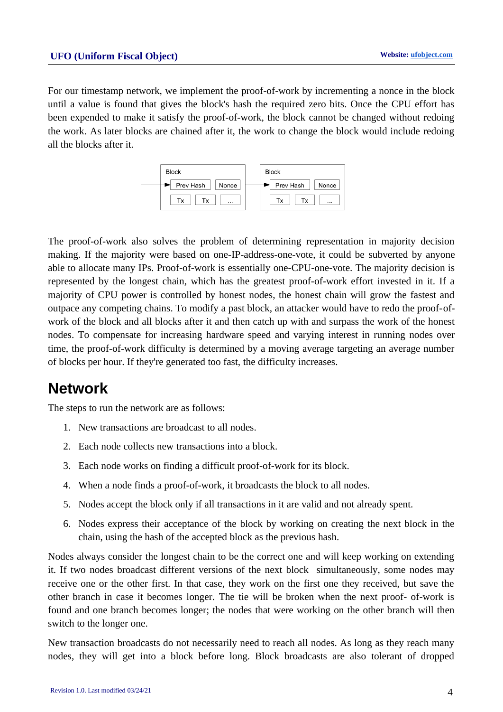For our timestamp network, we implement the proof-of-work by incrementing a nonce in the block until a value is found that gives the block's hash the required zero bits. Once the CPU effort has been expended to make it satisfy the proof-of-work, the block cannot be changed without redoing the work. As later blocks are chained after it, the work to change the block would include redoing all the blocks after it.



The proof-of-work also solves the problem of determining representation in majority decision making. If the majority were based on one-IP-address-one-vote, it could be subverted by anyone able to allocate many IPs. Proof-of-work is essentially one-CPU-one-vote. The majority decision is represented by the longest chain, which has the greatest proof-of-work effort invested in it. If a majority of CPU power is controlled by honest nodes, the honest chain will grow the fastest and outpace any competing chains. To modify a past block, an attacker would have to redo the proof-ofwork of the block and all blocks after it and then catch up with and surpass the work of the honest nodes. To compensate for increasing hardware speed and varying interest in running nodes over time, the proof-of-work difficulty is determined by a moving average targeting an average number of blocks per hour. If they're generated too fast, the difficulty increases.

## **Network**

The steps to run the network are as follows:

- 1. New transactions are broadcast to all nodes.
- 2. Each node collects new transactions into a block.
- 3. Each node works on finding a difficult proof-of-work for its block.
- 4. When a node finds a proof-of-work, it broadcasts the block to all nodes.
- 5. Nodes accept the block only if all transactions in it are valid and not already spent.
- 6. Nodes express their acceptance of the block by working on creating the next block in the chain, using the hash of the accepted block as the previous hash.

Nodes always consider the longest chain to be the correct one and will keep working on extending it. If two nodes broadcast different versions of the next block simultaneously, some nodes may receive one or the other first. In that case, they work on the first one they received, but save the other branch in case it becomes longer. The tie will be broken when the next proof- of-work is found and one branch becomes longer; the nodes that were working on the other branch will then switch to the longer one.

New transaction broadcasts do not necessarily need to reach all nodes. As long as they reach many nodes, they will get into a block before long. Block broadcasts are also tolerant of dropped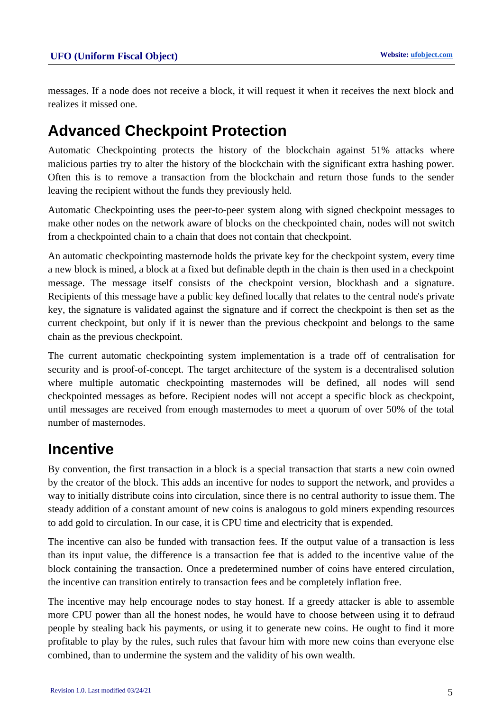messages. If a node does not receive a block, it will request it when it receives the next block and realizes it missed one.

# **Advanced Checkpoint Protection**

Automatic Checkpointing protects the history of the blockchain against 51% attacks where malicious parties try to alter the history of the blockchain with the significant extra hashing power. Often this is to remove a transaction from the blockchain and return those funds to the sender leaving the recipient without the funds they previously held.

Automatic Checkpointing uses the peer-to-peer system along with signed checkpoint messages to make other nodes on the network aware of blocks on the checkpointed chain, nodes will not switch from a checkpointed chain to a chain that does not contain that checkpoint.

An automatic checkpointing masternode holds the private key for the checkpoint system, every time a new block is mined, a block at a fixed but definable depth in the chain is then used in a checkpoint message. The message itself consists of the checkpoint version, blockhash and a signature. Recipients of this message have a public key defined locally that relates to the central node's private key, the signature is validated against the signature and if correct the checkpoint is then set as the current checkpoint, but only if it is newer than the previous checkpoint and belongs to the same chain as the previous checkpoint.

The current automatic checkpointing system implementation is a trade off of centralisation for security and is proof-of-concept. The target architecture of the system is a decentralised solution where multiple automatic checkpointing masternodes will be defined, all nodes will send checkpointed messages as before. Recipient nodes will not accept a specific block as checkpoint, until messages are received from enough masternodes to meet a quorum of over 50% of the total number of masternodes.

# **Incentive**

By convention, the first transaction in a block is a special transaction that starts a new coin owned by the creator of the block. This adds an incentive for nodes to support the network, and provides a way to initially distribute coins into circulation, since there is no central authority to issue them. The steady addition of a constant amount of new coins is analogous to gold miners expending resources to add gold to circulation. In our case, it is CPU time and electricity that is expended.

The incentive can also be funded with transaction fees. If the output value of a transaction is less than its input value, the difference is a transaction fee that is added to the incentive value of the block containing the transaction. Once a predetermined number of coins have entered circulation, the incentive can transition entirely to transaction fees and be completely inflation free.

The incentive may help encourage nodes to stay honest. If a greedy attacker is able to assemble more CPU power than all the honest nodes, he would have to choose between using it to defraud people by stealing back his payments, or using it to generate new coins. He ought to find it more profitable to play by the rules, such rules that favour him with more new coins than everyone else combined, than to undermine the system and the validity of his own wealth.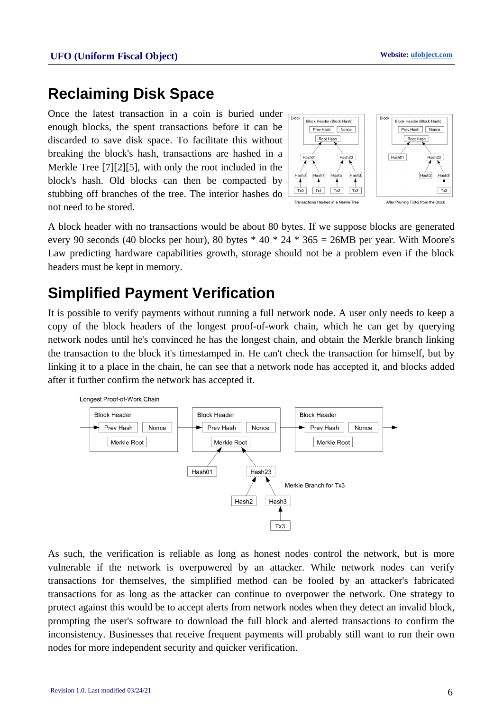## **Reclaiming Disk Space**

Once the latest transaction in a coin is buried under enough blocks, the spent transactions before it can be discarded to save disk space. To facilitate this without breaking the block's hash, transactions are hashed in a Merkle Tree [7][2][5], with only the root included in the block's hash. Old blocks can then be compacted by stubbing off branches of the tree. The interior hashes do not need to be stored.



A block header with no transactions would be about 80 bytes. If we suppose blocks are generated every 90 seconds (40 blocks per hour), 80 bytes  $*$  40  $*$  24  $*$  365 = 26MB per year. With Moore's Law predicting hardware capabilities growth, storage should not be a problem even if the block headers must be kept in memory.

# **Simplified Payment Verification**

It is possible to verify payments without running a full network node. A user only needs to keep a copy of the block headers of the longest proof-of-work chain, which he can get by querying network nodes until he's convinced he has the longest chain, and obtain the Merkle branch linking the transaction to the block it's timestamped in. He can't check the transaction for himself, but by linking it to a place in the chain, he can see that a network node has accepted it, and blocks added after it further confirm the network has accepted it.



As such, the verification is reliable as long as honest nodes control the network, but is more vulnerable if the network is overpowered by an attacker. While network nodes can verify transactions for themselves, the simplified method can be fooled by an attacker's fabricated transactions for as long as the attacker can continue to overpower the network. One strategy to protect against this would be to accept alerts from network nodes when they detect an invalid block, prompting the user's software to download the full block and alerted transactions to confirm the inconsistency. Businesses that receive frequent payments will probably still want to run their own nodes for more independent security and quicker verification.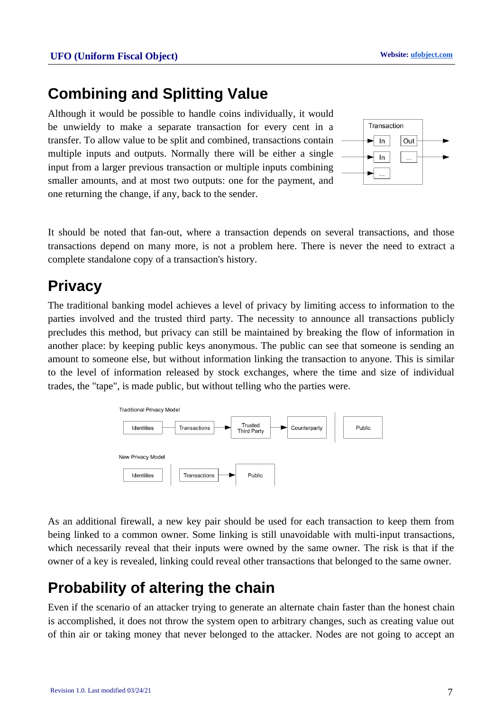## **Combining and Splitting Value**

Although it would be possible to handle coins individually, it would be unwieldy to make a separate transaction for every cent in a transfer. To allow value to be split and combined, transactions contain multiple inputs and outputs. Normally there will be either a single input from a larger previous transaction or multiple inputs combining smaller amounts, and at most two outputs: one for the payment, and one returning the change, if any, back to the sender.



It should be noted that fan-out, where a transaction depends on several transactions, and those transactions depend on many more, is not a problem here. There is never the need to extract a complete standalone copy of a transaction's history.

# **Privacy**

The traditional banking model achieves a level of privacy by limiting access to information to the parties involved and the trusted third party. The necessity to announce all transactions publicly precludes this method, but privacy can still be maintained by breaking the flow of information in another place: by keeping public keys anonymous. The public can see that someone is sending an amount to someone else, but without information linking the transaction to anyone. This is similar to the level of information released by stock exchanges, where the time and size of individual trades, the "tape", is made public, but without telling who the parties were.



As an additional firewall, a new key pair should be used for each transaction to keep them from being linked to a common owner. Some linking is still unavoidable with multi-input transactions, which necessarily reveal that their inputs were owned by the same owner. The risk is that if the owner of a key is revealed, linking could reveal other transactions that belonged to the same owner.

# **Probability of altering the chain**

Even if the scenario of an attacker trying to generate an alternate chain faster than the honest chain is accomplished, it does not throw the system open to arbitrary changes, such as creating value out of thin air or taking money that never belonged to the attacker. Nodes are not going to accept an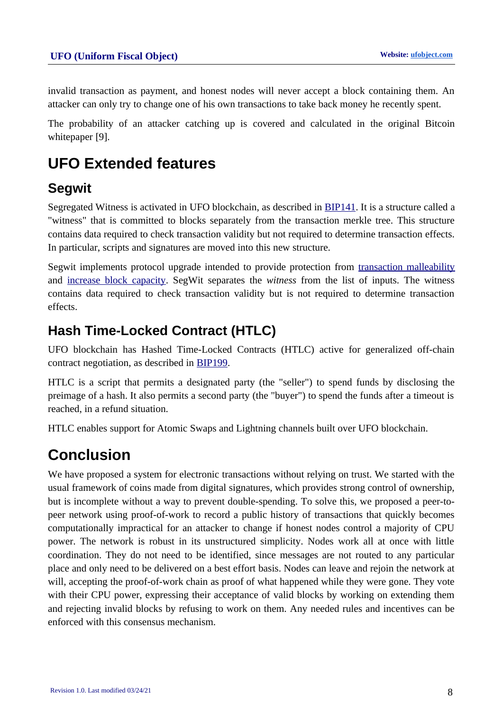invalid transaction as payment, and honest nodes will never accept a block containing them. An attacker can only try to change one of his own transactions to take back money he recently spent.

The probability of an attacker catching up is covered and calculated in the original Bitcoin whitepaper [9].

# **UFO Extended features**

### **Segwit**

Segregated Witness is activated in UFO blockchain, as described in [BIP141](https://github.com/bitcoin/bips/blob/master/bip-0141.mediawiki). It is a structure called a "witness" that is committed to blocks separately from the transaction merkle tree. This structure contains data required to check transaction validity but not required to determine transaction effects. In particular, scripts and signatures are moved into this new structure.

Segwit implements protocol upgrade intended to provide protection from [transaction malleability](https://en.bitcoin.it/wiki/Transaction_malleability) and [increase block capacity](https://en.bitcoin.it/wiki/Block_size_limit_controversy). SegWit separates the *witness* from the list of inputs. The witness contains data required to check transaction validity but is not required to determine transaction effects.

## **Hash Time-Locked Contract (HTLC)**

UFO blockchain has Hashed Time-Locked Contracts (HTLC) active for generalized off-chain contract negotiation, as described in [BIP199](https://github.com/bitcoin/bips/blob/master/bip-0199.mediawiki).

HTLC is a script that permits a designated party (the "seller") to spend funds by disclosing the preimage of a hash. It also permits a second party (the "buyer") to spend the funds after a timeout is reached, in a refund situation.

HTLC enables support for Atomic Swaps and Lightning channels built over UFO blockchain.

# **Conclusion**

We have proposed a system for electronic transactions without relying on trust. We started with the usual framework of coins made from digital signatures, which provides strong control of ownership, but is incomplete without a way to prevent double-spending. To solve this, we proposed a peer-topeer network using proof-of-work to record a public history of transactions that quickly becomes computationally impractical for an attacker to change if honest nodes control a majority of CPU power. The network is robust in its unstructured simplicity. Nodes work all at once with little coordination. They do not need to be identified, since messages are not routed to any particular place and only need to be delivered on a best effort basis. Nodes can leave and rejoin the network at will, accepting the proof-of-work chain as proof of what happened while they were gone. They vote with their CPU power, expressing their acceptance of valid blocks by working on extending them and rejecting invalid blocks by refusing to work on them. Any needed rules and incentives can be enforced with this consensus mechanism.